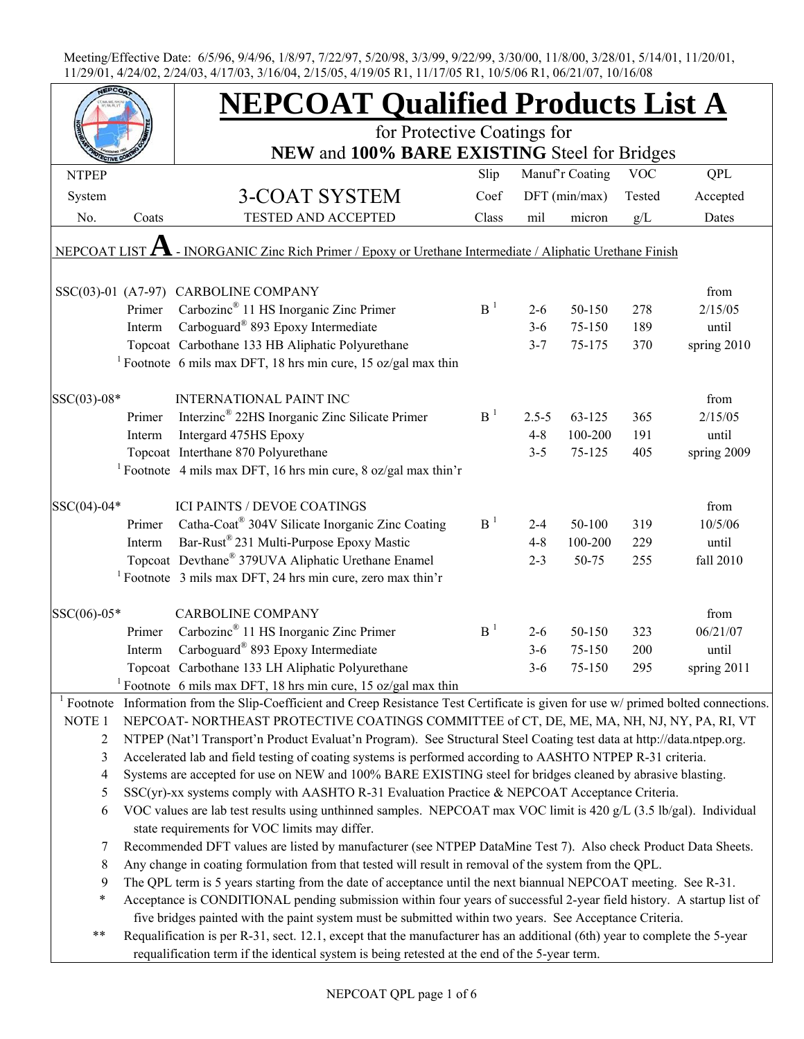|              |                                                                                                                                                                     | <b>NEPCOAT Qualified Products List A</b>                                                                                                          |                |           |                 |            |             |  |  |
|--------------|---------------------------------------------------------------------------------------------------------------------------------------------------------------------|---------------------------------------------------------------------------------------------------------------------------------------------------|----------------|-----------|-----------------|------------|-------------|--|--|
|              |                                                                                                                                                                     | for Protective Coatings for                                                                                                                       |                |           |                 |            |             |  |  |
|              |                                                                                                                                                                     | NEW and 100% BARE EXISTING Steel for Bridges                                                                                                      |                |           |                 |            |             |  |  |
| <b>NTPEP</b> |                                                                                                                                                                     |                                                                                                                                                   | Slip           |           | Manuf'r Coating | <b>VOC</b> | <b>QPL</b>  |  |  |
| System       |                                                                                                                                                                     | 3-COAT SYSTEM                                                                                                                                     | Coef           |           | $DFT$ (min/max) | Tested     | Accepted    |  |  |
| No.          | Coats                                                                                                                                                               | <b>TESTED AND ACCEPTED</b>                                                                                                                        | Class          | mil       | micron          | g/L        | Dates       |  |  |
|              |                                                                                                                                                                     |                                                                                                                                                   |                |           |                 |            |             |  |  |
|              |                                                                                                                                                                     | NEPCOAT LIST $A$ - INORGANIC Zinc Rich Primer / Epoxy or Urethane Intermediate / Aliphatic Urethane Finish                                        |                |           |                 |            |             |  |  |
|              |                                                                                                                                                                     |                                                                                                                                                   |                |           |                 |            | from        |  |  |
|              | Primer                                                                                                                                                              | SSC(03)-01 (A7-97) CARBOLINE COMPANY<br>Carbozinc <sup>®</sup> 11 HS Inorganic Zinc Primer                                                        | B <sup>1</sup> | $2 - 6$   | 50-150          | 278        | 2/15/05     |  |  |
|              | Interm                                                                                                                                                              | Carboguard® 893 Epoxy Intermediate                                                                                                                |                | $3 - 6$   | 75-150          | 189        | until       |  |  |
|              |                                                                                                                                                                     |                                                                                                                                                   |                |           |                 |            |             |  |  |
|              |                                                                                                                                                                     | Topcoat Carbothane 133 HB Aliphatic Polyurethane                                                                                                  |                | $3 - 7$   | 75-175          | 370        | spring 2010 |  |  |
|              |                                                                                                                                                                     | <sup>1</sup> Footnote 6 mils max DFT, 18 hrs min cure, 15 oz/gal max thin                                                                         |                |           |                 |            |             |  |  |
| SSC(03)-08*  |                                                                                                                                                                     | <b>INTERNATIONAL PAINT INC</b>                                                                                                                    |                |           |                 |            | from        |  |  |
|              | Primer                                                                                                                                                              | Interzinc <sup>®</sup> 22HS Inorganic Zinc Silicate Primer                                                                                        | B <sup>1</sup> | $2.5 - 5$ | 63-125          | 365        | 2/15/05     |  |  |
|              | Interm                                                                                                                                                              | Intergard 475HS Epoxy                                                                                                                             |                | $4 - 8$   | 100-200         | 191        | until       |  |  |
|              |                                                                                                                                                                     | Topcoat Interthane 870 Polyurethane                                                                                                               |                | $3 - 5$   | 75-125          | 405        | spring 2009 |  |  |
|              |                                                                                                                                                                     | <sup>1</sup> Footnote 4 mils max DFT, 16 hrs min cure, 8 oz/gal max thin'r                                                                        |                |           |                 |            |             |  |  |
|              |                                                                                                                                                                     |                                                                                                                                                   |                |           |                 |            |             |  |  |
| SSC(04)-04*  |                                                                                                                                                                     | <b>ICI PAINTS / DEVOE COATINGS</b>                                                                                                                |                |           |                 |            | from        |  |  |
|              | Primer                                                                                                                                                              | Catha-Coat® 304V Silicate Inorganic Zinc Coating                                                                                                  | B <sup>1</sup> | $2 - 4$   | 50-100          | 319        | 10/5/06     |  |  |
|              | Interm                                                                                                                                                              | Bar-Rust <sup>®</sup> 231 Multi-Purpose Epoxy Mastic                                                                                              |                | $4 - 8$   | 100-200         | 229        | until       |  |  |
|              |                                                                                                                                                                     | Topcoat Devthane® 379UVA Aliphatic Urethane Enamel                                                                                                |                | $2 - 3$   | 50-75           | 255        | fall 2010   |  |  |
|              |                                                                                                                                                                     | <sup>1</sup> Footnote 3 mils max DFT, 24 hrs min cure, zero max thin'r                                                                            |                |           |                 |            |             |  |  |
|              |                                                                                                                                                                     |                                                                                                                                                   |                |           |                 |            |             |  |  |
| SSC(06)-05*  |                                                                                                                                                                     | <b>CARBOLINE COMPANY</b>                                                                                                                          |                |           |                 |            | from        |  |  |
|              | Primer                                                                                                                                                              | Carbozinc <sup>®</sup> 11 HS Inorganic Zinc Primer                                                                                                | B <sup>1</sup> | $2 - 6$   | 50-150          | 323        | 06/21/07    |  |  |
|              | Interm                                                                                                                                                              | Carboguard® 893 Epoxy Intermediate                                                                                                                |                | $3 - 6$   | 75-150          | 200        | until       |  |  |
|              |                                                                                                                                                                     | Topcoat Carbothane 133 LH Aliphatic Polyurethane                                                                                                  |                | $3 - 6$   | 75-150          | 295        | spring 2011 |  |  |
|              |                                                                                                                                                                     | <sup>1</sup> Footnote 6 mils max DFT, 18 hrs min cure, 15 oz/gal max thin                                                                         |                |           |                 |            |             |  |  |
|              |                                                                                                                                                                     | <sup>1</sup> Footnote Information from the Slip-Coefficient and Creep Resistance Test Certificate is given for use $w$ primed bolted connections. |                |           |                 |            |             |  |  |
| NOTE 1       |                                                                                                                                                                     | NEPCOAT-NORTHEAST PROTECTIVE COATINGS COMMITTEE of CT, DE, ME, MA, NH, NJ, NY, PA, RI, VT                                                         |                |           |                 |            |             |  |  |
| 2            |                                                                                                                                                                     | NTPEP (Nat'l Transport'n Product Evaluat'n Program). See Structural Steel Coating test data at http://data.ntpep.org.                             |                |           |                 |            |             |  |  |
| 3            |                                                                                                                                                                     | Accelerated lab and field testing of coating systems is performed according to AASHTO NTPEP R-31 criteria.                                        |                |           |                 |            |             |  |  |
| 4            |                                                                                                                                                                     | Systems are accepted for use on NEW and 100% BARE EXISTING steel for bridges cleaned by abrasive blasting.                                        |                |           |                 |            |             |  |  |
| 5            |                                                                                                                                                                     | SSC(yr)-xx systems comply with AASHTO R-31 Evaluation Practice & NEPCOAT Acceptance Criteria.                                                     |                |           |                 |            |             |  |  |
| 6            | VOC values are lab test results using unthinned samples. NEPCOAT max VOC limit is 420 g/L (3.5 lb/gal). Individual<br>state requirements for VOC limits may differ. |                                                                                                                                                   |                |           |                 |            |             |  |  |
| 7            | Recommended DFT values are listed by manufacturer (see NTPEP DataMine Test 7). Also check Product Data Sheets.                                                      |                                                                                                                                                   |                |           |                 |            |             |  |  |
| 8            |                                                                                                                                                                     | Any change in coating formulation from that tested will result in removal of the system from the QPL.                                             |                |           |                 |            |             |  |  |
| 9            |                                                                                                                                                                     | The QPL term is 5 years starting from the date of acceptance until the next biannual NEPCOAT meeting. See R-31.                                   |                |           |                 |            |             |  |  |
| $\ast$       |                                                                                                                                                                     | Acceptance is CONDITIONAL pending submission within four years of successful 2-year field history. A startup list of                              |                |           |                 |            |             |  |  |
|              |                                                                                                                                                                     | five bridges painted with the paint system must be submitted within two years. See Acceptance Criteria.                                           |                |           |                 |            |             |  |  |
| $***$        |                                                                                                                                                                     | Requalification is per R-31, sect. 12.1, except that the manufacturer has an additional (6th) year to complete the 5-year                         |                |           |                 |            |             |  |  |
|              |                                                                                                                                                                     | requalification term if the identical system is being retested at the end of the 5-year term.                                                     |                |           |                 |            |             |  |  |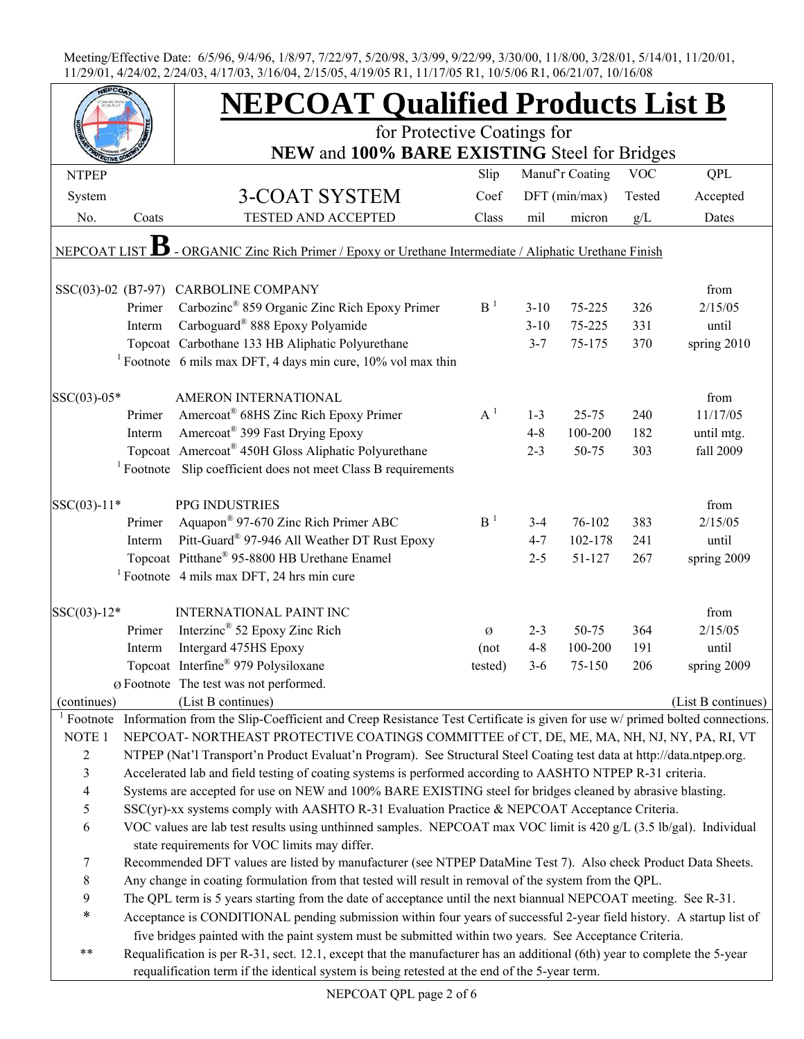|                         |        | <b>NEPCOAT Qualified Products List B</b>                                                                                                                                                                                        |                |          |                 |            |                    |
|-------------------------|--------|---------------------------------------------------------------------------------------------------------------------------------------------------------------------------------------------------------------------------------|----------------|----------|-----------------|------------|--------------------|
|                         |        | for Protective Coatings for                                                                                                                                                                                                     |                |          |                 |            |                    |
| <b>NTPEP</b>            |        | NEW and 100% BARE EXISTING Steel for Bridges                                                                                                                                                                                    | Slip           |          | Manuf'r Coating | <b>VOC</b> | <b>QPL</b>         |
|                         |        |                                                                                                                                                                                                                                 |                |          |                 |            |                    |
| System                  |        | 3-COAT SYSTEM                                                                                                                                                                                                                   | Coef           |          | DFT (min/max)   | Tested     | Accepted           |
| No.                     | Coats  | TESTED AND ACCEPTED                                                                                                                                                                                                             | Class          | mil      | micron          | g/L        | Dates              |
| NEPCOAT LIST            |        | - ORGANIC Zinc Rich Primer / Epoxy or Urethane Intermediate / Aliphatic Urethane Finish                                                                                                                                         |                |          |                 |            |                    |
|                         |        | SSC(03)-02 (B7-97) CARBOLINE COMPANY                                                                                                                                                                                            |                |          |                 |            | from               |
|                         | Primer | Carbozinc® 859 Organic Zinc Rich Epoxy Primer                                                                                                                                                                                   | B <sup>1</sup> | $3 - 10$ | 75-225          | 326        | 2/15/05            |
|                         | Interm | Carboguard® 888 Epoxy Polyamide                                                                                                                                                                                                 |                | $3 - 10$ | 75-225          | 331        | until              |
|                         |        | Topcoat Carbothane 133 HB Aliphatic Polyurethane                                                                                                                                                                                |                | $3 - 7$  | 75-175          | 370        | spring 2010        |
|                         |        | <sup>1</sup> Footnote 6 mils max DFT, 4 days min cure, $10\%$ vol max thin                                                                                                                                                      |                |          |                 |            |                    |
| SSC(03)-05*             |        | AMERON INTERNATIONAL                                                                                                                                                                                                            |                |          |                 |            | from               |
|                         | Primer | Amercoat <sup>®</sup> 68HS Zinc Rich Epoxy Primer                                                                                                                                                                               | $A^1$          | $1 - 3$  | $25 - 75$       | 240        | 11/17/05           |
|                         | Interm | Amercoat <sup>®</sup> 399 Fast Drying Epoxy                                                                                                                                                                                     |                | $4 - 8$  | 100-200         | 182        | until mtg.         |
|                         |        | Topcoat Amercoat® 450H Gloss Aliphatic Polyurethane                                                                                                                                                                             |                | $2 - 3$  | 50-75           | 303        | fall 2009          |
|                         |        | <sup>1</sup> Footnote Slip coefficient does not meet Class B requirements                                                                                                                                                       |                |          |                 |            |                    |
| $SSC(03)-11*$           |        | PPG INDUSTRIES                                                                                                                                                                                                                  |                |          |                 |            | from               |
|                         | Primer | Aquapon <sup>®</sup> 97-670 Zinc Rich Primer ABC                                                                                                                                                                                | B <sup>1</sup> | $3 - 4$  | 76-102          | 383        | 2/15/05            |
|                         | Interm | Pitt-Guard® 97-946 All Weather DT Rust Epoxy                                                                                                                                                                                    |                | $4 - 7$  | 102-178         | 241        | until              |
|                         |        | Topcoat Pitthane® 95-8800 HB Urethane Enamel                                                                                                                                                                                    |                | $2 - 5$  | 51-127          | 267        | spring 2009        |
|                         |        | <sup>1</sup> Footnote 4 mils max DFT, 24 hrs min cure                                                                                                                                                                           |                |          |                 |            |                    |
| SSC(03)-12*             |        | <b>INTERNATIONAL PAINT INC</b>                                                                                                                                                                                                  |                |          |                 |            | from               |
|                         | Primer | Interzinc <sup>®</sup> 52 Epoxy Zinc Rich                                                                                                                                                                                       | Ø              | $2 - 3$  | 50-75           | 364        | 2/15/05            |
|                         | Interm | Intergard 475HS Epoxy                                                                                                                                                                                                           | (not           | $4 - 8$  | 100-200         | 191        | until              |
|                         |        | Topcoat Interfine <sup>®</sup> 979 Polysiloxane                                                                                                                                                                                 | tested)        | $3-6$    | 75-150          | 206        | spring 2009        |
|                         |        | Ø Footnote The test was not performed.                                                                                                                                                                                          |                |          |                 |            |                    |
| (continues)             |        | (List B continues)                                                                                                                                                                                                              |                |          |                 |            | (List B continues) |
| <sup>1</sup> Footnote   |        | Information from the Slip-Coefficient and Creep Resistance Test Certificate is given for use w/ primed bolted connections.                                                                                                      |                |          |                 |            |                    |
| NOTE 1                  |        | NEPCOAT-NORTHEAST PROTECTIVE COATINGS COMMITTEE of CT, DE, ME, MA, NH, NJ, NY, PA, RI, VT                                                                                                                                       |                |          |                 |            |                    |
| $\sqrt{2}$              |        | NTPEP (Nat'l Transport'n Product Evaluat'n Program). See Structural Steel Coating test data at http://data.ntpep.org.                                                                                                           |                |          |                 |            |                    |
| $\mathfrak{Z}$          |        | Accelerated lab and field testing of coating systems is performed according to AASHTO NTPEP R-31 criteria.                                                                                                                      |                |          |                 |            |                    |
| $\overline{\mathbf{4}}$ |        | Systems are accepted for use on NEW and 100% BARE EXISTING steel for bridges cleaned by abrasive blasting.                                                                                                                      |                |          |                 |            |                    |
| 5                       |        | SSC(yr)-xx systems comply with AASHTO R-31 Evaluation Practice & NEPCOAT Acceptance Criteria.                                                                                                                                   |                |          |                 |            |                    |
| 6                       |        | VOC values are lab test results using unthinned samples. NEPCOAT max VOC limit is 420 g/L (3.5 lb/gal). Individual                                                                                                              |                |          |                 |            |                    |
|                         |        | state requirements for VOC limits may differ.                                                                                                                                                                                   |                |          |                 |            |                    |
| 7                       |        | Recommended DFT values are listed by manufacturer (see NTPEP DataMine Test 7). Also check Product Data Sheets.                                                                                                                  |                |          |                 |            |                    |
| $8\,$                   |        | Any change in coating formulation from that tested will result in removal of the system from the QPL.                                                                                                                           |                |          |                 |            |                    |
| $\boldsymbol{9}$        |        | The QPL term is 5 years starting from the date of acceptance until the next biannual NEPCOAT meeting. See R-31.                                                                                                                 |                |          |                 |            |                    |
| $\ast$                  |        | Acceptance is CONDITIONAL pending submission within four years of successful 2-year field history. A startup list of<br>five bridges painted with the paint system must be submitted within two years. See Acceptance Criteria. |                |          |                 |            |                    |
| $***$                   |        | Requalification is per R-31, sect. 12.1, except that the manufacturer has an additional (6th) year to complete the 5-year                                                                                                       |                |          |                 |            |                    |
|                         |        | requalification term if the identical system is being retested at the end of the 5-year term.                                                                                                                                   |                |          |                 |            |                    |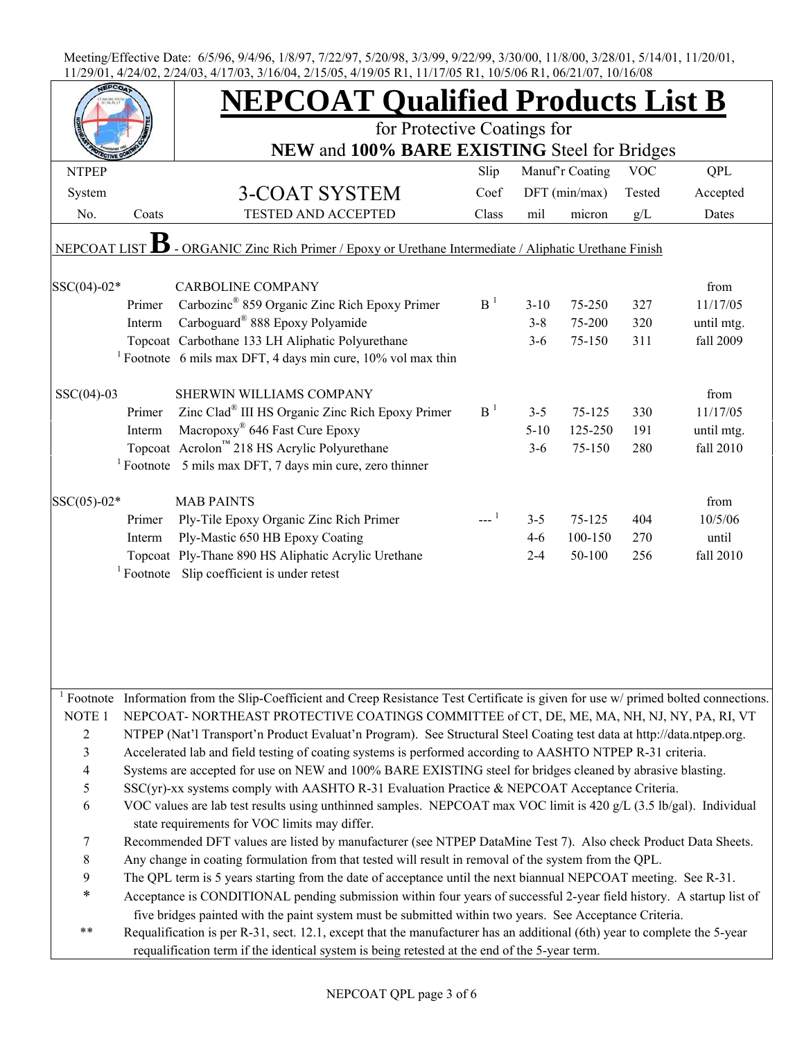|                    |              | <b>NEPCOAT Qualified Products List B</b>                                                                                                                                                                       |                |          |                 |            |            |  |  |  |
|--------------------|--------------|----------------------------------------------------------------------------------------------------------------------------------------------------------------------------------------------------------------|----------------|----------|-----------------|------------|------------|--|--|--|
|                    |              | for Protective Coatings for<br>NEW and 100% BARE EXISTING Steel for Bridges                                                                                                                                    |                |          |                 |            |            |  |  |  |
|                    |              |                                                                                                                                                                                                                |                |          |                 |            |            |  |  |  |
| <b>NTPEP</b>       |              |                                                                                                                                                                                                                | Slip           |          | Manuf'r Coating | <b>VOC</b> | QPL        |  |  |  |
| System             |              | <b>3-COAT SYSTEM</b>                                                                                                                                                                                           | Coef           |          | $DFT$ (min/max) | Tested     | Accepted   |  |  |  |
| No.                | Coats        | TESTED AND ACCEPTED                                                                                                                                                                                            | Class          | mil      | micron          | g/L        | Dates      |  |  |  |
| <b>NEPCOAT LIS</b> |              | - ORGANIC Zinc Rich Primer / Epoxy or Urethane Intermediate / Aliphatic Urethane Finish                                                                                                                        |                |          |                 |            |            |  |  |  |
| SSC(04)-02*        |              | <b>CARBOLINE COMPANY</b>                                                                                                                                                                                       |                |          |                 |            | from       |  |  |  |
|                    | Primer       | Carbozinc <sup>®</sup> 859 Organic Zinc Rich Epoxy Primer                                                                                                                                                      | B <sup>1</sup> | $3 - 10$ | 75-250          | 327        | 11/17/05   |  |  |  |
|                    | Interm       | Carboguard <sup>®</sup> 888 Epoxy Polyamide                                                                                                                                                                    |                | $3 - 8$  | 75-200          | 320        | until mtg. |  |  |  |
|                    |              | Topcoat Carbothane 133 LH Aliphatic Polyurethane                                                                                                                                                               |                | $3 - 6$  | 75-150          | 311        | fall 2009  |  |  |  |
|                    |              | <sup>1</sup> Footnote 6 mils max DFT, 4 days min cure, $10\%$ vol max thin                                                                                                                                     |                |          |                 |            |            |  |  |  |
| $SSC(04)-03$       |              | SHERWIN WILLIAMS COMPANY                                                                                                                                                                                       |                |          |                 |            | from       |  |  |  |
|                    | Primer       | Zinc Clad® III HS Organic Zinc Rich Epoxy Primer                                                                                                                                                               | B <sup>1</sup> | $3 - 5$  | 75-125          | 330        | 11/17/05   |  |  |  |
|                    | Interm       | Macropoxy <sup>®</sup> 646 Fast Cure Epoxy                                                                                                                                                                     |                | $5 - 10$ | 125-250         | 191        | until mtg. |  |  |  |
|                    |              | Topcoat Acrolon™ 218 HS Acrylic Polyurethane                                                                                                                                                                   |                | $3 - 6$  | 75-150          | 280        | fall 2010  |  |  |  |
|                    |              | <sup>1</sup> Footnote 5 mils max DFT, 7 days min cure, zero thinner                                                                                                                                            |                |          |                 |            |            |  |  |  |
| $SSC(05) - 02*$    |              | <b>MAB PAINTS</b>                                                                                                                                                                                              |                |          |                 |            | from       |  |  |  |
|                    | Primer       | Ply-Tile Epoxy Organic Zinc Rich Primer                                                                                                                                                                        |                | $3 - 5$  | 75-125          | 404        | 10/5/06    |  |  |  |
|                    | Interm       | Ply-Mastic 650 HB Epoxy Coating                                                                                                                                                                                |                | $4 - 6$  | 100-150         | 270        | until      |  |  |  |
|                    |              | Topcoat Ply-Thane 890 HS Aliphatic Acrylic Urethane                                                                                                                                                            |                | $2 - 4$  | 50-100          | 256        | fall 2010  |  |  |  |
|                    | $1$ Footnote | Slip coefficient is under retest                                                                                                                                                                               |                |          |                 |            |            |  |  |  |
|                    |              |                                                                                                                                                                                                                |                |          |                 |            |            |  |  |  |
|                    |              | Footnote Information from the Slip-Coefficient and Creep Resistance Test Certificate is given for use w/ primed bolted connections.                                                                            |                |          |                 |            |            |  |  |  |
| NOTE 1             |              | NEPCOAT-NORTHEAST PROTECTIVE COATINGS COMMITTEE of CT, DE, ME, MA, NH, NJ, NY, PA, RI, VT                                                                                                                      |                |          |                 |            |            |  |  |  |
| $\overline{c}$     |              | NTPEP (Nat'l Transport'n Product Evaluat'n Program). See Structural Steel Coating test data at http://data.ntpep.org.                                                                                          |                |          |                 |            |            |  |  |  |
| 3<br>4             |              | Accelerated lab and field testing of coating systems is performed according to AASHTO NTPEP R-31 criteria.                                                                                                     |                |          |                 |            |            |  |  |  |
|                    |              | Systems are accepted for use on NEW and 100% BARE EXISTING steel for bridges cleaned by abrasive blasting.<br>$SSC(yr)$ -xx systems comply with AASHTO R-31 Evaluation Practice & NEPCOAT Acceptance Criteria. |                |          |                 |            |            |  |  |  |
| 5                  |              |                                                                                                                                                                                                                |                |          |                 |            |            |  |  |  |
| 6                  |              | VOC values are lab test results using unthinned samples. NEPCOAT max VOC limit is 420 g/L (3.5 lb/gal). Individual<br>state requirements for VOC limits may differ.                                            |                |          |                 |            |            |  |  |  |
| 7                  |              | Recommended DFT values are listed by manufacturer (see NTPEP DataMine Test 7). Also check Product Data Sheets.                                                                                                 |                |          |                 |            |            |  |  |  |
| 8                  |              | Any change in coating formulation from that tested will result in removal of the system from the QPL.                                                                                                          |                |          |                 |            |            |  |  |  |
| 9                  |              | The QPL term is 5 years starting from the date of acceptance until the next biannual NEPCOAT meeting. See R-31.                                                                                                |                |          |                 |            |            |  |  |  |
| $\ast$             |              | Acceptance is CONDITIONAL pending submission within four years of successful 2-year field history. A startup list of                                                                                           |                |          |                 |            |            |  |  |  |
|                    |              | five bridges painted with the paint system must be submitted within two years. See Acceptance Criteria.                                                                                                        |                |          |                 |            |            |  |  |  |
| $***$              |              | Requalification is per R-31, sect. 12.1, except that the manufacturer has an additional (6th) year to complete the 5-year                                                                                      |                |          |                 |            |            |  |  |  |
|                    |              | requalification term if the identical system is being retested at the end of the 5-year term.                                                                                                                  |                |          |                 |            |            |  |  |  |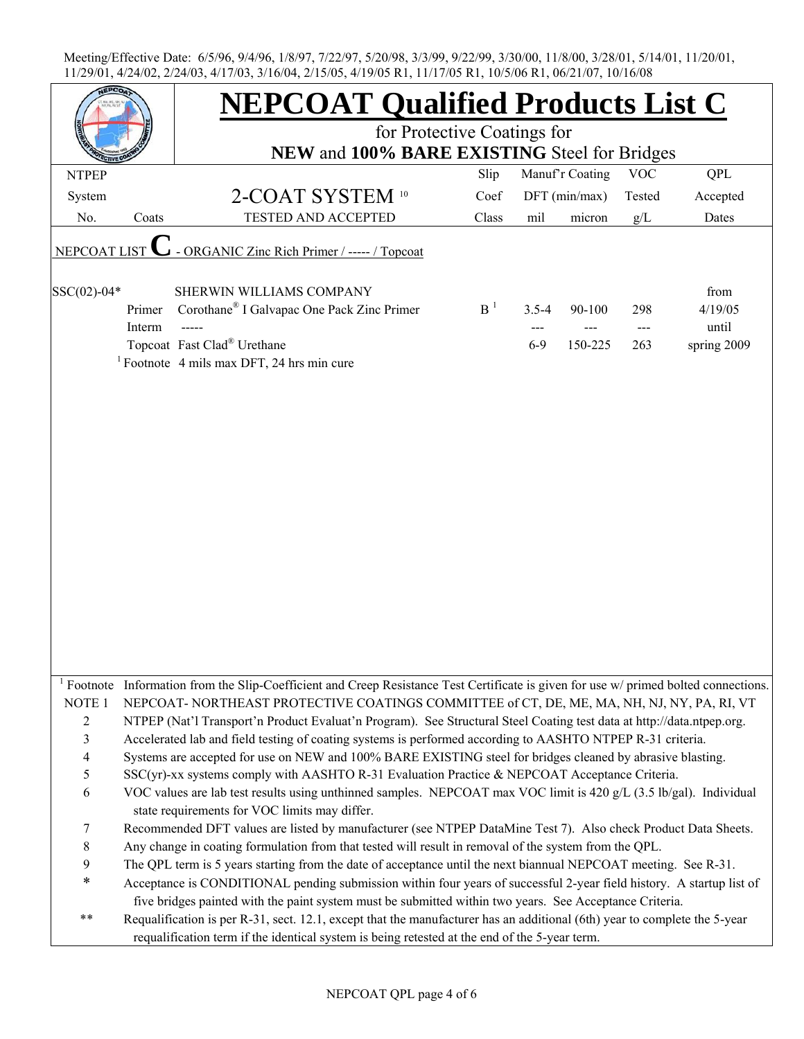|                   |                  | <b>NEPCOAT Qualified Products List C</b>                                                                                                                                                                                   |                |           |                 |            |                  |  |  |  |  |
|-------------------|------------------|----------------------------------------------------------------------------------------------------------------------------------------------------------------------------------------------------------------------------|----------------|-----------|-----------------|------------|------------------|--|--|--|--|
|                   |                  | for Protective Coatings for                                                                                                                                                                                                |                |           |                 |            |                  |  |  |  |  |
|                   |                  | NEW and 100% BARE EXISTING Steel for Bridges                                                                                                                                                                               |                |           |                 |            |                  |  |  |  |  |
| <b>NTPEP</b>      |                  |                                                                                                                                                                                                                            | Slip           |           | Manuf'r Coating | <b>VOC</b> | <b>QPL</b>       |  |  |  |  |
| System            |                  | 2-COAT SYSTEM 10                                                                                                                                                                                                           | Coef           |           | DFT (min/max)   | Tested     | Accepted         |  |  |  |  |
| No.               | Coats            | <b>TESTED AND ACCEPTED</b>                                                                                                                                                                                                 | Class          | mil       | micron          | g/L        | Dates            |  |  |  |  |
| NEPCOAT LIST      |                  | - ORGANIC Zinc Rich Primer / ----- / Topcoat                                                                                                                                                                               |                |           |                 |            |                  |  |  |  |  |
| SSC(02)-04*       |                  | SHERWIN WILLIAMS COMPANY                                                                                                                                                                                                   |                |           |                 |            | from             |  |  |  |  |
|                   | Primer<br>Interm | Corothane <sup>®</sup> I Galvapac One Pack Zinc Primer                                                                                                                                                                     | B <sup>1</sup> | $3.5 - 4$ | 90-100          | 298        | 4/19/05<br>until |  |  |  |  |
|                   |                  | Topcoat Fast Clad® Urethane                                                                                                                                                                                                |                | $6-9$     | 150-225         | 263        | spring 2009      |  |  |  |  |
|                   |                  | <sup>1</sup> Footnote 4 mils max DFT, 24 hrs min cure                                                                                                                                                                      |                |           |                 |            |                  |  |  |  |  |
|                   |                  |                                                                                                                                                                                                                            |                |           |                 |            |                  |  |  |  |  |
|                   |                  |                                                                                                                                                                                                                            |                |           |                 |            |                  |  |  |  |  |
|                   |                  |                                                                                                                                                                                                                            |                |           |                 |            |                  |  |  |  |  |
|                   |                  |                                                                                                                                                                                                                            |                |           |                 |            |                  |  |  |  |  |
|                   |                  |                                                                                                                                                                                                                            |                |           |                 |            |                  |  |  |  |  |
|                   |                  |                                                                                                                                                                                                                            |                |           |                 |            |                  |  |  |  |  |
|                   |                  |                                                                                                                                                                                                                            |                |           |                 |            |                  |  |  |  |  |
|                   |                  |                                                                                                                                                                                                                            |                |           |                 |            |                  |  |  |  |  |
|                   |                  |                                                                                                                                                                                                                            |                |           |                 |            |                  |  |  |  |  |
|                   |                  |                                                                                                                                                                                                                            |                |           |                 |            |                  |  |  |  |  |
|                   |                  |                                                                                                                                                                                                                            |                |           |                 |            |                  |  |  |  |  |
|                   |                  |                                                                                                                                                                                                                            |                |           |                 |            |                  |  |  |  |  |
|                   |                  |                                                                                                                                                                                                                            |                |           |                 |            |                  |  |  |  |  |
|                   |                  |                                                                                                                                                                                                                            |                |           |                 |            |                  |  |  |  |  |
|                   |                  |                                                                                                                                                                                                                            |                |           |                 |            |                  |  |  |  |  |
|                   |                  |                                                                                                                                                                                                                            |                |           |                 |            |                  |  |  |  |  |
|                   |                  | <sup>1</sup> Footnote Information from the Slip-Coefficient and Creep Resistance Test Certificate is given for use $w$ / primed bolted connections.                                                                        |                |           |                 |            |                  |  |  |  |  |
| NOTE <sub>1</sub> |                  | NEPCOAT-NORTHEAST PROTECTIVE COATINGS COMMITTEE of CT, DE, ME, MA, NH, NJ, NY, PA, RI, VT                                                                                                                                  |                |           |                 |            |                  |  |  |  |  |
| $\overline{c}$    |                  | NTPEP (Nat'l Transport'n Product Evaluat'n Program). See Structural Steel Coating test data at http://data.ntpep.org.                                                                                                      |                |           |                 |            |                  |  |  |  |  |
| $\mathfrak{Z}$    |                  | Accelerated lab and field testing of coating systems is performed according to AASHTO NTPEP R-31 criteria.                                                                                                                 |                |           |                 |            |                  |  |  |  |  |
| $\overline{4}$    |                  | Systems are accepted for use on NEW and 100% BARE EXISTING steel for bridges cleaned by abrasive blasting.                                                                                                                 |                |           |                 |            |                  |  |  |  |  |
| 5                 |                  | SSC(yr)-xx systems comply with AASHTO R-31 Evaluation Practice & NEPCOAT Acceptance Criteria.                                                                                                                              |                |           |                 |            |                  |  |  |  |  |
| $\sqrt{6}$        |                  | VOC values are lab test results using unthinned samples. NEPCOAT max VOC limit is 420 g/L (3.5 lb/gal). Individual<br>state requirements for VOC limits may differ.                                                        |                |           |                 |            |                  |  |  |  |  |
| 7                 |                  | Recommended DFT values are listed by manufacturer (see NTPEP DataMine Test 7). Also check Product Data Sheets.                                                                                                             |                |           |                 |            |                  |  |  |  |  |
| $8\,$             |                  | Any change in coating formulation from that tested will result in removal of the system from the QPL.                                                                                                                      |                |           |                 |            |                  |  |  |  |  |
| $\boldsymbol{9}$  |                  | The QPL term is 5 years starting from the date of acceptance until the next biannual NEPCOAT meeting. See R-31.                                                                                                            |                |           |                 |            |                  |  |  |  |  |
| $\ast$            |                  | Acceptance is CONDITIONAL pending submission within four years of successful 2-year field history. A startup list of                                                                                                       |                |           |                 |            |                  |  |  |  |  |
|                   |                  | five bridges painted with the paint system must be submitted within two years. See Acceptance Criteria.                                                                                                                    |                |           |                 |            |                  |  |  |  |  |
| $***$             |                  | Requalification is per R-31, sect. 12.1, except that the manufacturer has an additional (6th) year to complete the 5-year<br>requalification term if the identical system is being retested at the end of the 5-year term. |                |           |                 |            |                  |  |  |  |  |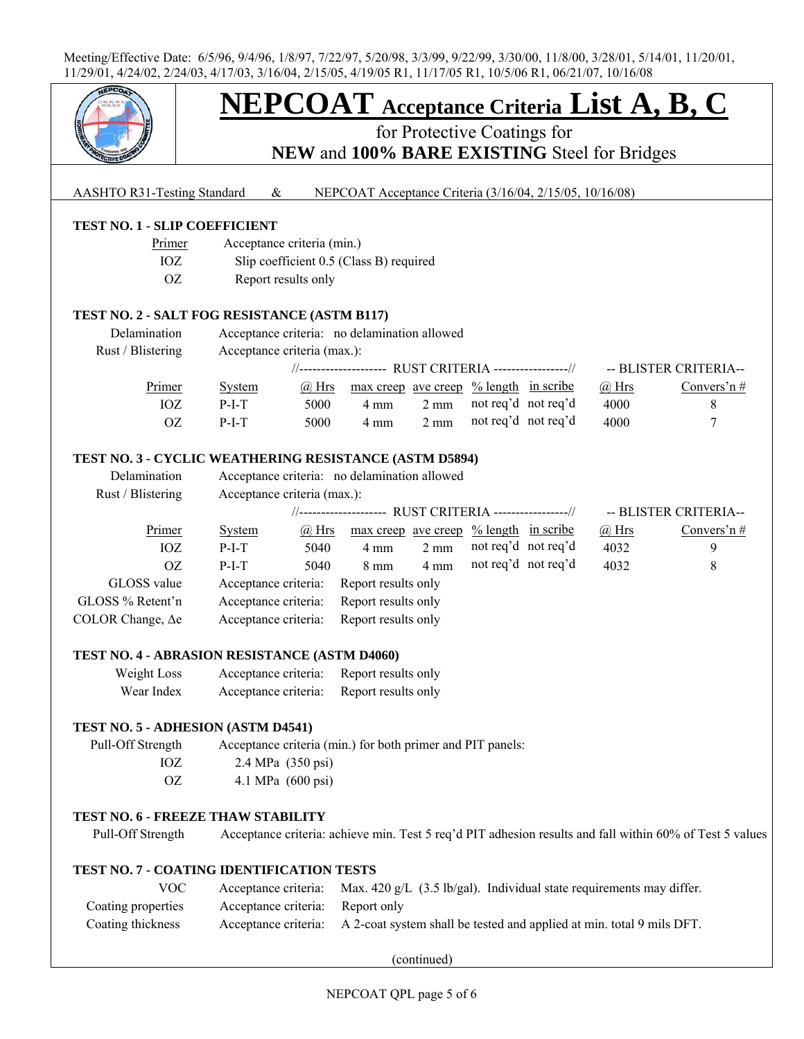

# **NEPCOAT Acceptance Criteria List A, B, C**

for Protective Coatings for **NEW** and **100% BARE EXISTING** Steel for Bridges

## AASHTO R31-Testing Standard & NEPCOAT Acceptance Criteria (3/16/04, 2/15/05, 10/16/08)

## **TEST NO. 1 - SLIP COEFFICIENT**

| Primer | Acceptance criteria (min.)              |
|--------|-----------------------------------------|
| IOZ    | Slip coefficient 0.5 (Class B) required |
| OZ.    | Report results only                     |

#### **TEST NO. 2 - SALT FOG RESISTANCE (ASTM B117)**

| Delamination      | Acceptance criteria: no delamination allowed |       |                                                                |                |                     |  |              |                       |
|-------------------|----------------------------------------------|-------|----------------------------------------------------------------|----------------|---------------------|--|--------------|-----------------------|
| Rust / Blistering | Acceptance criteria (max.):                  |       |                                                                |                |                     |  |              |                       |
|                   |                                              |       | //------------------- RUST CRITERIA ----------------//         |                |                     |  |              | -- BLISTER CRITERIA-- |
| Primer            | System                                       | @ Hrs | $\frac{\text{max creep}}{\text{ave creep}}$ % length in scribe |                |                     |  | $\omega$ Hrs | Convers'n $#$         |
| IOZ               | $P-I-T$                                      | 5000  | $4 \text{ mm}$                                                 | $2 \text{ mm}$ | not req'd not req'd |  | 4000         |                       |
| OZ                | $P-I-T$                                      | 5000  | $4 \text{ mm}$                                                 | $2 \text{ mm}$ | not req'd not req'd |  | 4000         |                       |

## **TEST NO. 3 - CYCLIC WEATHERING RESISTANCE (ASTM D5894)**

| Delamination             | Acceptance criteria: no delamination allowed            |              |                     |                |                      |  |              |                       |
|--------------------------|---------------------------------------------------------|--------------|---------------------|----------------|----------------------|--|--------------|-----------------------|
| Rust / Blistering        | Acceptance criteria (max.):                             |              |                     |                |                      |  |              |                       |
|                          | //-------------------- RUST CRITERIA ----------------// |              |                     |                |                      |  |              | -- BLISTER CRITERIA-- |
| Primer                   | <b>System</b>                                           | $\omega$ Hrs | max creep ave creep |                | $% length$ in scribe |  | $\omega$ Hrs | Convers'n $#$         |
| IOZ                      | $P-I-T$                                                 | 5040         | $4 \text{ mm}$      | $2 \text{ mm}$ | not req'd not req'd  |  | 4032         | 9                     |
| 0Z                       | $P-I-T$                                                 | 5040         | $8 \text{ mm}$      | $4 \text{ mm}$ | not req'd not req'd  |  | 4032         | 8                     |
| GLOSS value              | Acceptance criteria:                                    |              | Report results only |                |                      |  |              |                       |
| GLOSS % Retent'n         | Acceptance criteria:                                    |              | Report results only |                |                      |  |              |                       |
| COLOR Change, $\Delta e$ | Acceptance criteria:                                    |              | Report results only |                |                      |  |              |                       |

## **TEST NO. 4 - ABRASION RESISTANCE (ASTM D4060)**

| Weight Loss | Acceptance criteria: | Report results only |
|-------------|----------------------|---------------------|
| Wear Index  | Acceptance criteria: | Report results only |

#### **TEST NO. 5 - ADHESION (ASTM D4541)**

| Pull-Off Strength | Acceptance criteria (min.) for both primer and PIT panels: |
|-------------------|------------------------------------------------------------|
| IOZ.              | 2.4 MPa $(350 \text{ psi})$                                |
| OZ.               | 4.1 MPa $(600 \text{ psi})$                                |

# **TEST NO. 6 - FREEZE THAW STABILITY**

Pull-Off Strength Acceptance criteria: achieve min. Test 5 req'd PIT adhesion results and fall within 60% of Test 5 values

### **TEST NO. 7 - COATING IDENTIFICATION TESTS**

| <b>VOC</b>         |                                  | Acceptance criteria: Max. 420 g/L $(3.5 \text{ lb/gal})$ . Individual state requirements may differ. |
|--------------------|----------------------------------|------------------------------------------------------------------------------------------------------|
| Coating properties | Acceptance criteria: Report only |                                                                                                      |
| Coating thickness  |                                  | Acceptance criteria: A 2-coat system shall be tested and applied at min. total 9 mils DFT.           |

(continued)